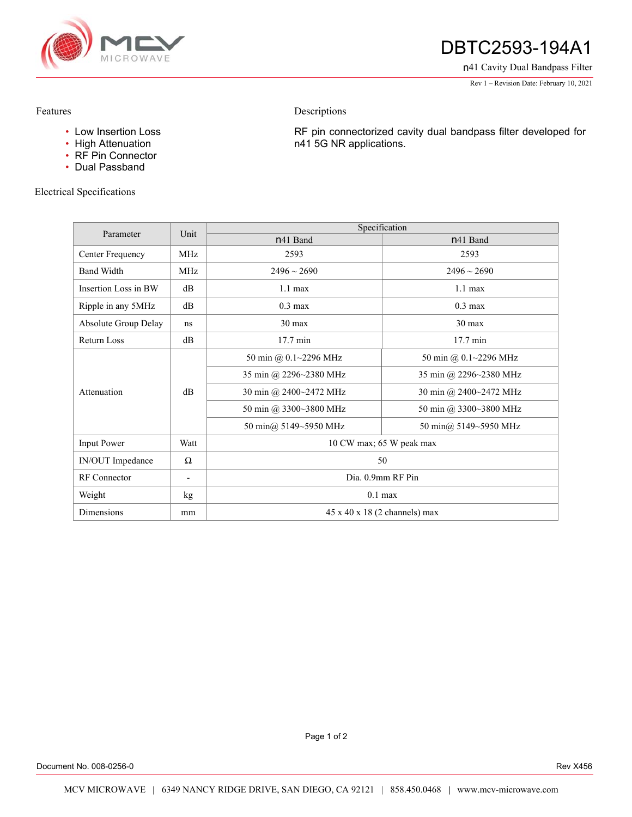

# DBTC2593-194A1

n41 Cavity Dual Bandpass Filter

Rev 1 – Revision Date: February 10, 2021

#### Features

- Low Insertion Loss
- High Attenuation
- RF Pin Connector
- Dual Passband

### Electrical Specifications

RF pin connectorized cavity dual bandpass filter developed for n41 5G NR applications.

| Parameter            | Unit        | Specification                             |                        |
|----------------------|-------------|-------------------------------------------|------------------------|
|                      |             | n <sub>41</sub> Band                      | n <sub>41</sub> Band   |
| Center Frequency     | MHz.        | 2593                                      | 2593                   |
| <b>Band Width</b>    | <b>MHz</b>  | $2496 \sim 2690$                          | $2496 \sim 2690$       |
| Insertion Loss in BW | $\text{dB}$ | $1.1 \text{ max}$                         | $1.1 \text{ max}$      |
| Ripple in any 5MHz   | $\text{dB}$ | $0.3 \text{ max}$                         | $0.3 \text{ max}$      |
| Absolute Group Delay | ns          | $30 \text{ max}$                          | 30 max                 |
| <b>Return Loss</b>   | dB          | 17.7 min                                  | 17.7 min               |
| Attenuation          | $\rm dB$    | 50 min @ 0.1~2296 MHz                     | 50 min @ 0.1~2296 MHz  |
|                      |             | 35 min @ 2296~2380 MHz                    | 35 min @ 2296~2380 MHz |
|                      |             | 30 min @ 2400~2472 MHz                    | 30 min @ 2400~2472 MHz |
|                      |             | 50 min @ 3300~3800 MHz                    | 50 min @ 3300~3800 MHz |
|                      |             | 50 min@ 5149~5950 MHz                     | 50 min@ 5149~5950 MHz  |
| <b>Input Power</b>   | Watt        | 10 CW max; 65 W peak max                  |                        |
| IN/OUT Impedance     | $\Omega$    | 50                                        |                        |
| <b>RF</b> Connector  |             | Dia. 0.9mm RF Pin                         |                        |
| Weight               | kg          | $0.1$ max                                 |                        |
| Dimensions           | mm          | $45 \times 40 \times 18$ (2 channels) max |                        |

Descriptions